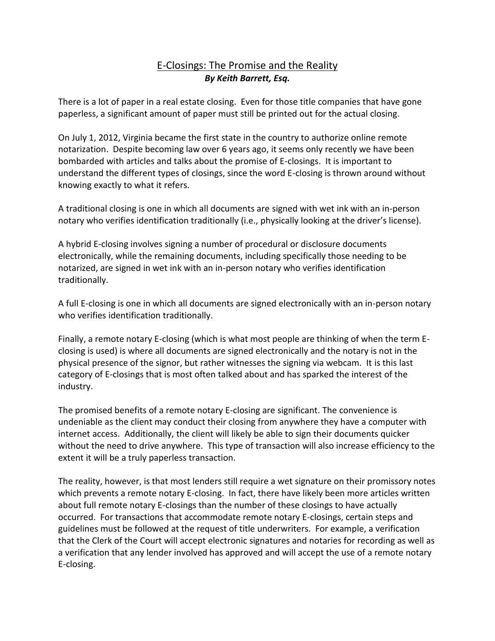## E-Closings: The Promise and the Reality *By Keith Barrett, Esq.*

There is a lot of paper in a real estate closing. Even for those title companies that have gone paperless, a significant amount of paper must still be printed out for the actual closing.

On July 1, 2012, Virginia became the first state in the country to authorize online remote notarization. Despite becoming law over 6 years ago, it seems only recently we have been bombarded with articles and talks about the promise of E-closings. It is important to understand the different types of closings, since the word E-closing is thrown around without knowing exactly to what it refers.

A traditional closing is one in which all documents are signed with wet ink with an in-person notary who verifies identification traditionally (i.e., physically looking at the driver's license).

A hybrid E-closing involves signing a number of procedural or disclosure documents electronically, while the remaining documents, including specifically those needing to be notarized, are signed in wet ink with an in-person notary who verifies identification traditionally.

A full E-closing is one in which all documents are signed electronically with an in-person notary who verifies identification traditionally.

Finally, a remote notary E-closing (which is what most people are thinking of when the term Eclosing is used) is where all documents are signed electronically and the notary is not in the physical presence of the signor, but rather witnesses the signing via webcam. It is this last category of E-closings that is most often talked about and has sparked the interest of the industry.

The promised benefits of a remote notary E-closing are significant. The convenience is undeniable as the client may conduct their closing from anywhere they have a computer with internet access. Additionally, the client will likely be able to sign their documents quicker without the need to drive anywhere. This type of transaction will also increase efficiency to the extent it will be a truly paperless transaction.

The reality, however, is that most lenders still require a wet signature on their promissory notes which prevents a remote notary E-closing. In fact, there have likely been more articles written about full remote notary E-closings than the number of these closings to have actually occurred. For transactions that accommodate remote notary E-closings, certain steps and guidelines must be followed at the request of title underwriters. For example, a verification that the Clerk of the Court will accept electronic signatures and notaries for recording as well as a verification that any lender involved has approved and will accept the use of a remote notary E-closing.